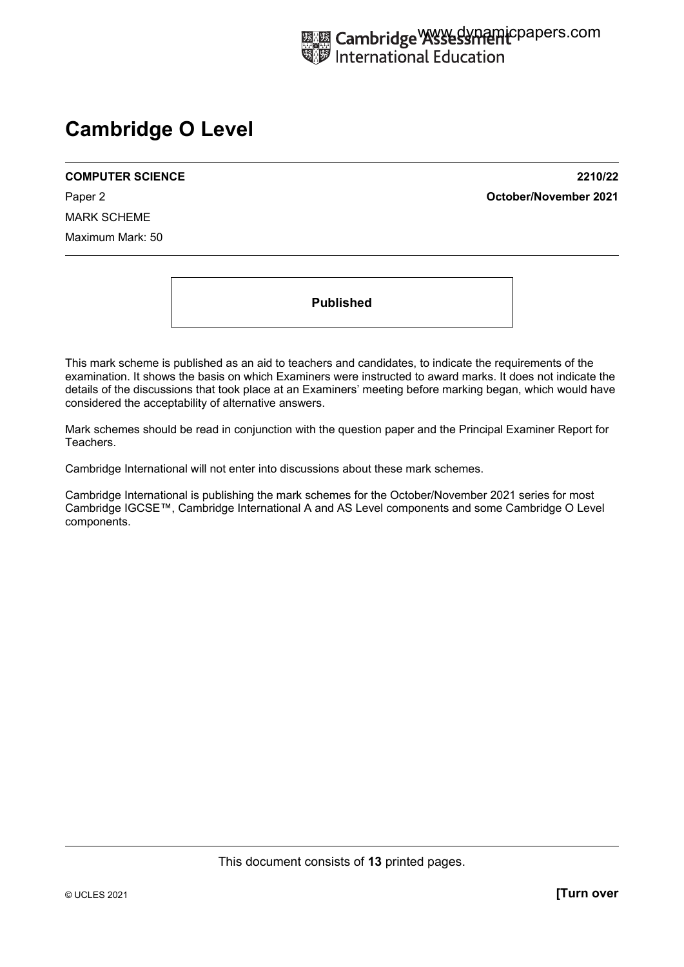# **Cambridge O Level**

MARK SCHEME Maximum Mark: 50

**COMPUTER SCIENCE 2210/22**  Paper 2 **October/November 2021**

**Published** 

This mark scheme is published as an aid to teachers and candidates, to indicate the requirements of the examination. It shows the basis on which Examiners were instructed to award marks. It does not indicate the details of the discussions that took place at an Examiners' meeting before marking began, which would have considered the acceptability of alternative answers.

Mark schemes should be read in conjunction with the question paper and the Principal Examiner Report for Teachers.

Cambridge International will not enter into discussions about these mark schemes.

Cambridge International is publishing the mark schemes for the October/November 2021 series for most Cambridge IGCSE™, Cambridge International A and AS Level components and some Cambridge O Level components.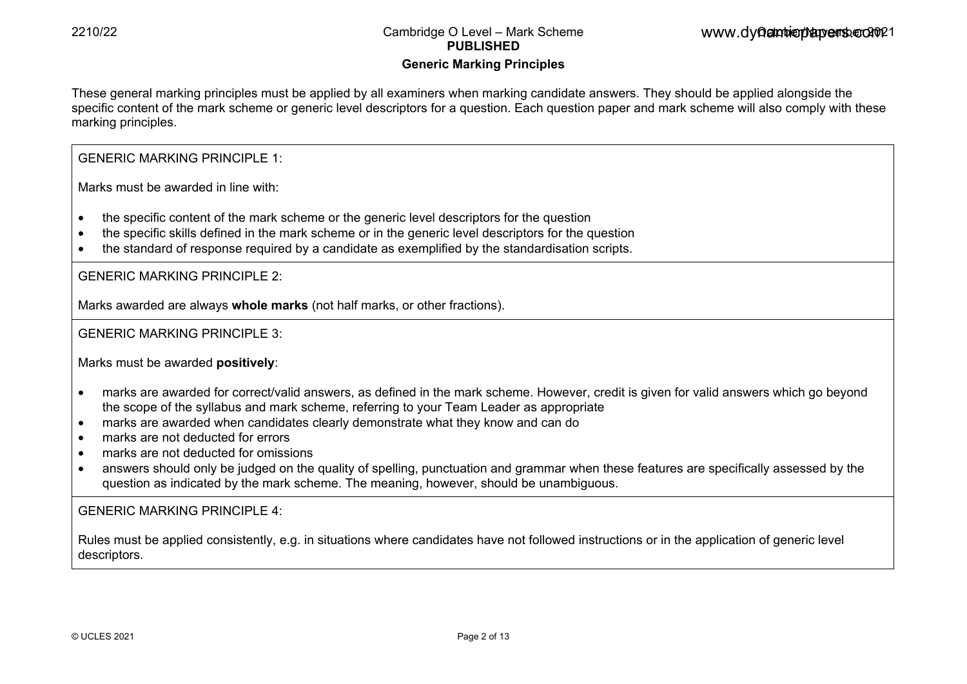# **Generic Marking Principles**

These general marking principles must be applied by all examiners when marking candidate answers. They should be applied alongside the specific content of the mark scheme or generic level descriptors for a question. Each question paper and mark scheme will also comply with these marking principles.

# GENERIC MARKING PRINCIPLE 1:

Marks must be awarded in line with:

- the specific content of the mark scheme or the generic level descriptors for the question
- the specific skills defined in the mark scheme or in the generic level descriptors for the question
- the standard of response required by a candidate as exemplified by the standardisation scripts.

GENERIC MARKING PRINCIPLE 2:

Marks awarded are always **whole marks** (not half marks, or other fractions).

# GENERIC MARKING PRINCIPLE 3:

Marks must be awarded **positively**:

- marks are awarded for correct/valid answers, as defined in the mark scheme. However, credit is given for valid answers which go beyond the scope of the syllabus and mark scheme, referring to your Team Leader as appropriate
- marks are awarded when candidates clearly demonstrate what they know and can do
- marks are not deducted for errors
- marks are not deducted for omissions
- answers should only be judged on the quality of spelling, punctuation and grammar when these features are specifically assessed by the question as indicated by the mark scheme. The meaning, however, should be unambiguous.

# GENERIC MARKING PRINCIPLE  $4$ .

Rules must be applied consistently, e.g. in situations where candidates have not followed instructions or in the application of generic level descriptors.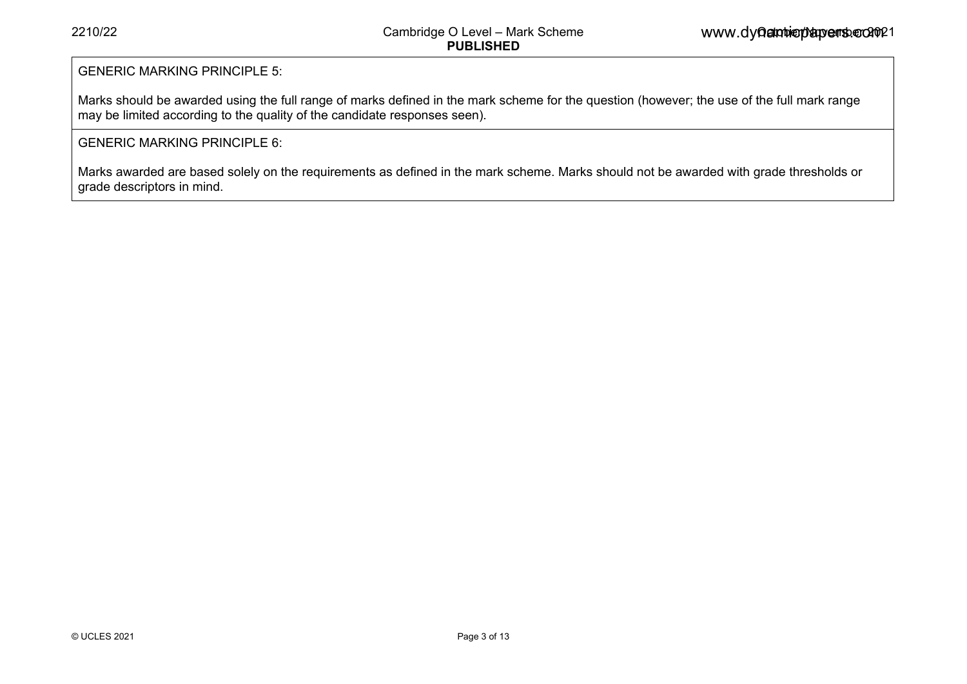### GENERIC MARKING PRINCIPLE 5:

Marks should be awarded using the full range of marks defined in the mark scheme for the question (however; the use of the full mark range may be limited according to the quality of the candidate responses seen).

### GENERIC MARKING PRINCIPLE 6:

Marks awarded are based solely on the requirements as defined in the mark scheme. Marks should not be awarded with grade thresholds or grade descriptors in mind.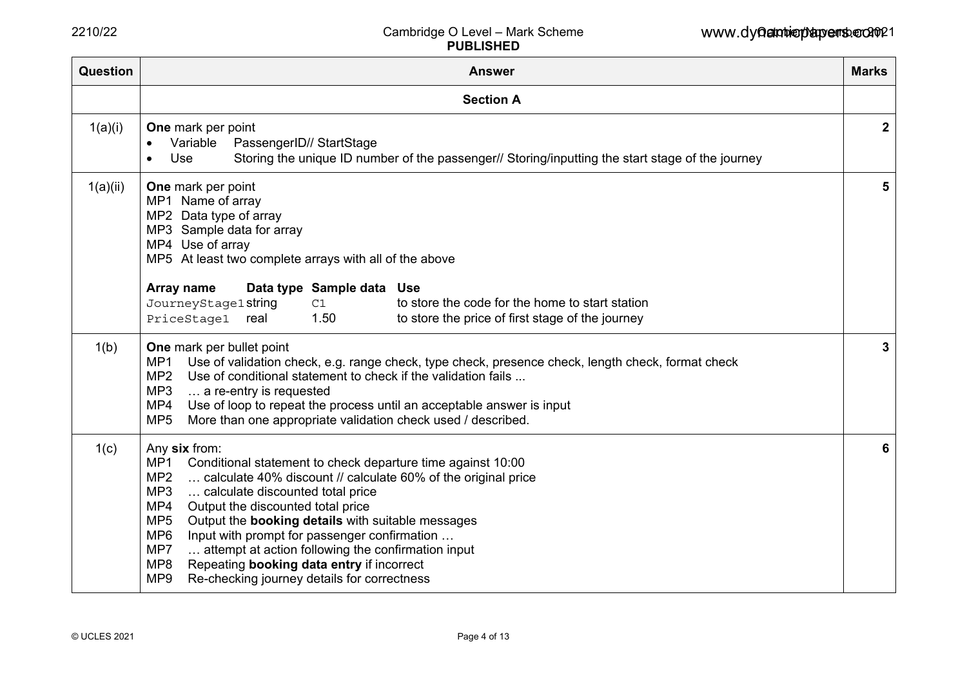| Question | <b>Answer</b>                                                                                                                                                                                                                                                                                                                                                                                                                                                                                                                                                                                       | <b>Marks</b>    |  |  |  |  |  |  |  |
|----------|-----------------------------------------------------------------------------------------------------------------------------------------------------------------------------------------------------------------------------------------------------------------------------------------------------------------------------------------------------------------------------------------------------------------------------------------------------------------------------------------------------------------------------------------------------------------------------------------------------|-----------------|--|--|--|--|--|--|--|
|          | <b>Section A</b>                                                                                                                                                                                                                                                                                                                                                                                                                                                                                                                                                                                    |                 |  |  |  |  |  |  |  |
| 1(a)(i)  | <b>One</b> mark per point<br>PassengerID// StartStage<br>Variable<br>Storing the unique ID number of the passenger// Storing/inputting the start stage of the journey<br>Use                                                                                                                                                                                                                                                                                                                                                                                                                        |                 |  |  |  |  |  |  |  |
| 1(a)(ii) | One mark per point<br>MP1 Name of array<br>MP2 Data type of array<br>MP3 Sample data for array<br>MP4 Use of array<br>MP5 At least two complete arrays with all of the above<br>Data type Sample data Use<br>Array name<br>to store the code for the home to start station<br>JourneyStage1string<br>C1<br>1.50<br>to store the price of first stage of the journey<br>PriceStage1<br>real                                                                                                                                                                                                          | $5\phantom{.0}$ |  |  |  |  |  |  |  |
| 1(b)     | One mark per bullet point<br>MP1<br>Use of validation check, e.g. range check, type check, presence check, length check, format check<br>MP <sub>2</sub><br>Use of conditional statement to check if the validation fails<br>MP3<br>a re-entry is requested<br>Use of loop to repeat the process until an acceptable answer is input<br>MP4<br>MP <sub>5</sub><br>More than one appropriate validation check used / described.                                                                                                                                                                      | 3               |  |  |  |  |  |  |  |
| 1(c)     | Any six from:<br>MP1<br>Conditional statement to check departure time against 10:00<br>MP <sub>2</sub><br>calculate 40% discount // calculate 60% of the original price<br>MP3<br>calculate discounted total price<br>MP4<br>Output the discounted total price<br>MP <sub>5</sub><br>Output the <b>booking details</b> with suitable messages<br>MP <sub>6</sub><br>Input with prompt for passenger confirmation<br>attempt at action following the confirmation input<br>MP7<br>MP8<br>Repeating booking data entry if incorrect<br>MP <sub>9</sub><br>Re-checking journey details for correctness |                 |  |  |  |  |  |  |  |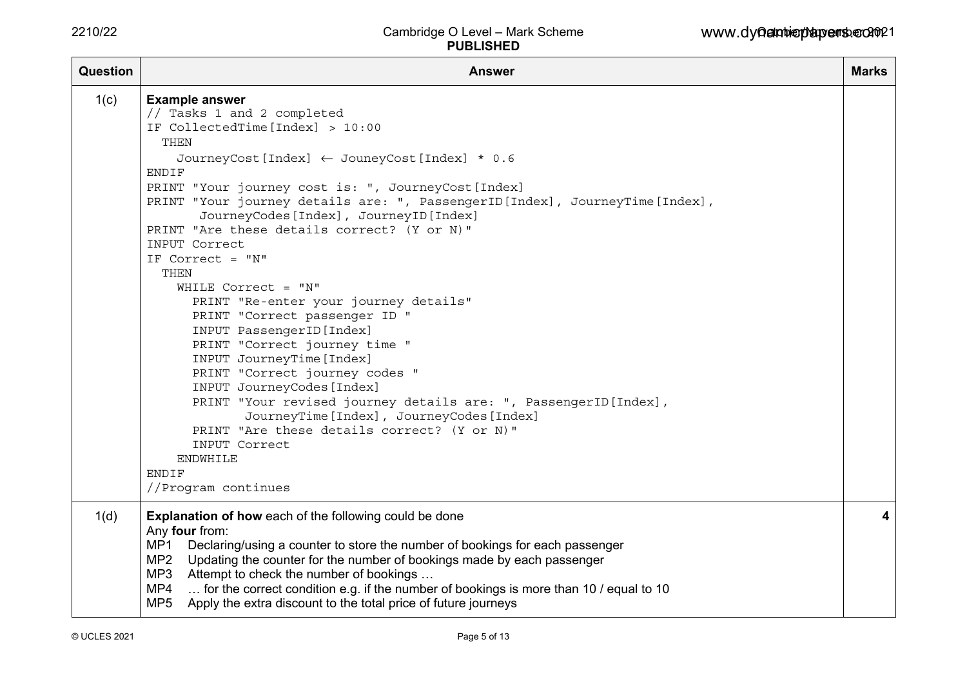| <b>Question</b> | <b>Answer</b>                                                                                                                                                                                                                                                                                                                                                                                                                                                                                                                                                                                                                                                                                                                                                                                                                                                                                                                             | <b>Marks</b> |
|-----------------|-------------------------------------------------------------------------------------------------------------------------------------------------------------------------------------------------------------------------------------------------------------------------------------------------------------------------------------------------------------------------------------------------------------------------------------------------------------------------------------------------------------------------------------------------------------------------------------------------------------------------------------------------------------------------------------------------------------------------------------------------------------------------------------------------------------------------------------------------------------------------------------------------------------------------------------------|--------------|
| 1(c)            | <b>Example answer</b><br>// Tasks 1 and 2 completed<br>IF CollectedTime [Index] > 10:00<br>THEN<br>JourneyCost [Index] ← JouneyCost [Index] * 0.6<br>ENDIF<br>PRINT "Your journey cost is: ", JourneyCost [Index]<br>PRINT "Your journey details are: ", PassengerID[Index], JourneyTime[Index],<br>JourneyCodes [Index], JourneyID [Index]<br>PRINT "Are these details correct? (Y or N)"<br>INPUT Correct<br>IF Correct = "N"<br>THEN<br>WHILE Correct = $"N"$<br>PRINT "Re-enter your journey details"<br>PRINT "Correct passenger ID "<br>INPUT PassengerID [Index]<br>PRINT "Correct journey time "<br>INPUT JourneyTime [Index]<br>PRINT "Correct journey codes "<br>INPUT JourneyCodes [Index]<br>PRINT "Your revised journey details are: ", PassengerID [Index],<br>JourneyTime [Index], JourneyCodes [Index]<br>PRINT "Are these details correct? (Y or N)"<br>INPUT Correct<br><b>ENDWHILE</b><br>ENDIF<br>//Program continues |              |
| 1(d)            | <b>Explanation of how each of the following could be done</b><br>Any four from:<br>MP1<br>Declaring/using a counter to store the number of bookings for each passenger<br>MP2<br>Updating the counter for the number of bookings made by each passenger<br>MP3<br>Attempt to check the number of bookings<br>for the correct condition e.g. if the number of bookings is more than 10 / equal to 10<br>MP4<br>Apply the extra discount to the total price of future journeys<br>MP <sub>5</sub>                                                                                                                                                                                                                                                                                                                                                                                                                                           | 4            |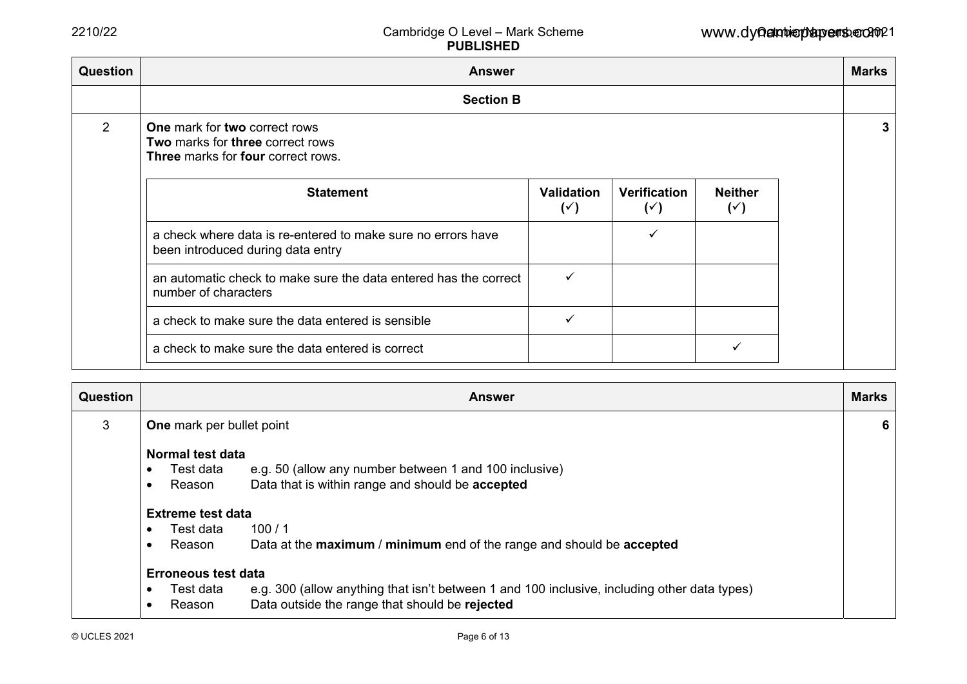| Question<br><b>Answer</b>                                                                                             |                                     |                                |                                  |  |  |  |  |  |  |  |
|-----------------------------------------------------------------------------------------------------------------------|-------------------------------------|--------------------------------|----------------------------------|--|--|--|--|--|--|--|
| <b>Section B</b>                                                                                                      |                                     |                                |                                  |  |  |  |  |  |  |  |
| One mark for two correct rows<br>Two marks for three correct rows<br><b>Three</b> marks for <b>four</b> correct rows. |                                     |                                |                                  |  |  |  |  |  |  |  |
| <b>Statement</b>                                                                                                      | <b>Validation</b><br>$(\check{ }')$ | Verification<br>$(\check{ }')$ | <b>Neither</b><br>$(\check{ }')$ |  |  |  |  |  |  |  |
| a check where data is re-entered to make sure no errors have<br>been introduced during data entry                     |                                     |                                |                                  |  |  |  |  |  |  |  |
| an automatic check to make sure the data entered has the correct<br>number of characters                              | ✓                                   |                                |                                  |  |  |  |  |  |  |  |
| a check to make sure the data entered is sensible                                                                     |                                     |                                |                                  |  |  |  |  |  |  |  |
| a check to make sure the data entered is correct                                                                      |                                     |                                |                                  |  |  |  |  |  |  |  |
|                                                                                                                       |                                     |                                |                                  |  |  |  |  |  |  |  |

| <b>Question</b> | <b>Marks</b><br><b>Answer</b>    |                                                                                              |  |  |  |  |  |  |  |
|-----------------|----------------------------------|----------------------------------------------------------------------------------------------|--|--|--|--|--|--|--|
| 3               | <b>One</b> mark per bullet point |                                                                                              |  |  |  |  |  |  |  |
|                 | Normal test data                 |                                                                                              |  |  |  |  |  |  |  |
|                 | Test data                        | e.g. 50 (allow any number between 1 and 100 inclusive)                                       |  |  |  |  |  |  |  |
|                 | Reason                           | Data that is within range and should be accepted                                             |  |  |  |  |  |  |  |
|                 | <b>Extreme test data</b>         |                                                                                              |  |  |  |  |  |  |  |
|                 | Test data                        | 100/1                                                                                        |  |  |  |  |  |  |  |
|                 | Reason                           | Data at the maximum / minimum end of the range and should be accepted                        |  |  |  |  |  |  |  |
|                 | <b>Erroneous test data</b>       |                                                                                              |  |  |  |  |  |  |  |
|                 | Test data                        | e.g. 300 (allow anything that isn't between 1 and 100 inclusive, including other data types) |  |  |  |  |  |  |  |
|                 | Reason                           | Data outside the range that should be rejected                                               |  |  |  |  |  |  |  |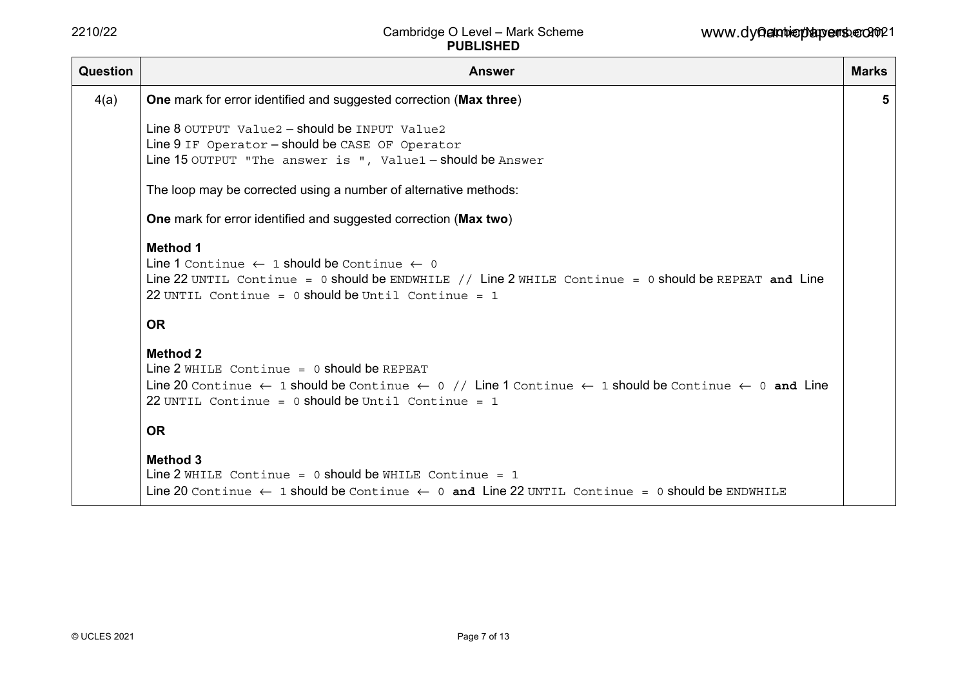| Question | <b>Answer</b>                                                                                                                                                                                                                                                             | <b>Marks</b> |  |  |  |  |  |
|----------|---------------------------------------------------------------------------------------------------------------------------------------------------------------------------------------------------------------------------------------------------------------------------|--------------|--|--|--|--|--|
| 4(a)     | One mark for error identified and suggested correction (Max three)                                                                                                                                                                                                        | 5            |  |  |  |  |  |
|          | Line 8 OUTPUT Value2 - should be INPUT Value2<br>Line 9 IF Operator - should be CASE OF Operator<br>Line 15 OUTPUT "The answer is ", Value1 - should be Answer                                                                                                            |              |  |  |  |  |  |
|          | The loop may be corrected using a number of alternative methods:                                                                                                                                                                                                          |              |  |  |  |  |  |
|          | <b>One</b> mark for error identified and suggested correction (Max two)                                                                                                                                                                                                   |              |  |  |  |  |  |
|          | <b>Method 1</b><br>Line 1 Continue $\leftarrow$ 1 should be Continue $\leftarrow$ 0<br>Line 22 UNTIL Continue = 0 should be ENDWHILE // Line 2 WHILE Continue = 0 should be REPEAT and Line<br>22 UNTIL Continue = $0$ should be Until Continue = 1                       |              |  |  |  |  |  |
|          | <b>OR</b>                                                                                                                                                                                                                                                                 |              |  |  |  |  |  |
|          | <b>Method 2</b><br>Line $2$ WHILE Continue = 0 should be REPEAT<br>Line 20 Continue $\leftarrow$ 1 should be Continue $\leftarrow$ 0 // Line 1 Continue $\leftarrow$ 1 should be Continue $\leftarrow$ 0 and Line<br>22 UNTIL Continue = $0$ should be Until Continue = 1 |              |  |  |  |  |  |
|          | <b>OR</b>                                                                                                                                                                                                                                                                 |              |  |  |  |  |  |
|          | <b>Method 3</b><br>Line 2 WHILE Continue = $0$ should be WHILE Continue = $1$<br>Line 20 Continue $\leftarrow$ 1 should be Continue $\leftarrow$ 0 and Line 22 UNTIL Continue = 0 should be ENDWHILE                                                                      |              |  |  |  |  |  |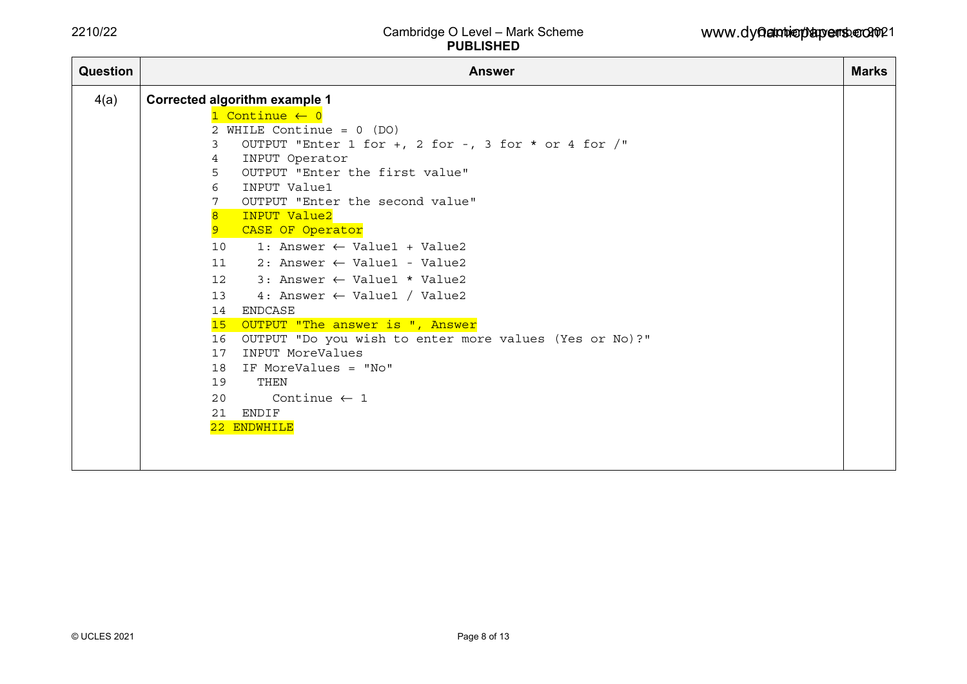| <b>Answer</b>                        |                                          |                                                                                                                                                                                                                                                                                                                                                                                                                                                                                                                                    |  |  |  |  |  |  |  |  |
|--------------------------------------|------------------------------------------|------------------------------------------------------------------------------------------------------------------------------------------------------------------------------------------------------------------------------------------------------------------------------------------------------------------------------------------------------------------------------------------------------------------------------------------------------------------------------------------------------------------------------------|--|--|--|--|--|--|--|--|
| <b>Corrected algorithm example 1</b> |                                          |                                                                                                                                                                                                                                                                                                                                                                                                                                                                                                                                    |  |  |  |  |  |  |  |  |
| 1 Continue $\leftarrow$ 0            |                                          |                                                                                                                                                                                                                                                                                                                                                                                                                                                                                                                                    |  |  |  |  |  |  |  |  |
|                                      |                                          |                                                                                                                                                                                                                                                                                                                                                                                                                                                                                                                                    |  |  |  |  |  |  |  |  |
| 3                                    |                                          |                                                                                                                                                                                                                                                                                                                                                                                                                                                                                                                                    |  |  |  |  |  |  |  |  |
| 4                                    |                                          |                                                                                                                                                                                                                                                                                                                                                                                                                                                                                                                                    |  |  |  |  |  |  |  |  |
|                                      |                                          |                                                                                                                                                                                                                                                                                                                                                                                                                                                                                                                                    |  |  |  |  |  |  |  |  |
|                                      |                                          |                                                                                                                                                                                                                                                                                                                                                                                                                                                                                                                                    |  |  |  |  |  |  |  |  |
|                                      |                                          |                                                                                                                                                                                                                                                                                                                                                                                                                                                                                                                                    |  |  |  |  |  |  |  |  |
| 9                                    |                                          |                                                                                                                                                                                                                                                                                                                                                                                                                                                                                                                                    |  |  |  |  |  |  |  |  |
|                                      | 1: Answer $\leftarrow$ Value1 + Value2   |                                                                                                                                                                                                                                                                                                                                                                                                                                                                                                                                    |  |  |  |  |  |  |  |  |
|                                      | $2:$ Answer $\leftarrow$ Value1 - Value2 |                                                                                                                                                                                                                                                                                                                                                                                                                                                                                                                                    |  |  |  |  |  |  |  |  |
|                                      |                                          |                                                                                                                                                                                                                                                                                                                                                                                                                                                                                                                                    |  |  |  |  |  |  |  |  |
|                                      |                                          |                                                                                                                                                                                                                                                                                                                                                                                                                                                                                                                                    |  |  |  |  |  |  |  |  |
|                                      |                                          |                                                                                                                                                                                                                                                                                                                                                                                                                                                                                                                                    |  |  |  |  |  |  |  |  |
|                                      |                                          |                                                                                                                                                                                                                                                                                                                                                                                                                                                                                                                                    |  |  |  |  |  |  |  |  |
|                                      |                                          |                                                                                                                                                                                                                                                                                                                                                                                                                                                                                                                                    |  |  |  |  |  |  |  |  |
|                                      | INPUT MoreValues                         |                                                                                                                                                                                                                                                                                                                                                                                                                                                                                                                                    |  |  |  |  |  |  |  |  |
|                                      |                                          |                                                                                                                                                                                                                                                                                                                                                                                                                                                                                                                                    |  |  |  |  |  |  |  |  |
|                                      | THEN                                     |                                                                                                                                                                                                                                                                                                                                                                                                                                                                                                                                    |  |  |  |  |  |  |  |  |
|                                      | Continue $\leftarrow$ 1                  |                                                                                                                                                                                                                                                                                                                                                                                                                                                                                                                                    |  |  |  |  |  |  |  |  |
|                                      |                                          |                                                                                                                                                                                                                                                                                                                                                                                                                                                                                                                                    |  |  |  |  |  |  |  |  |
|                                      |                                          |                                                                                                                                                                                                                                                                                                                                                                                                                                                                                                                                    |  |  |  |  |  |  |  |  |
|                                      |                                          |                                                                                                                                                                                                                                                                                                                                                                                                                                                                                                                                    |  |  |  |  |  |  |  |  |
|                                      |                                          |                                                                                                                                                                                                                                                                                                                                                                                                                                                                                                                                    |  |  |  |  |  |  |  |  |
|                                      | 5<br>6<br>7<br>$\overline{8}$            | 2 WHILE Continue = $0$ (DO)<br>OUTPUT "Enter 1 for +, 2 for -, 3 for * or 4 for /"<br>INPUT Operator<br>OUTPUT "Enter the first value"<br>INPUT Value1<br>OUTPUT "Enter the second value"<br>INPUT Value2<br>CASE OF Operator<br>10<br>11<br>12 3: Answer $\leftarrow$ Value1 * Value2<br>13<br>4: Answer $\leftarrow$ Value1 / Value2<br>14 ENDCASE<br>15 OUTPUT "The answer is ", Answer<br>OUTPUT "Do you wish to enter more values (Yes or No)?"<br>16<br>17<br>18 IF MoreValues = "No"<br>19<br>20<br>21 ENDIF<br>22 ENDWHILE |  |  |  |  |  |  |  |  |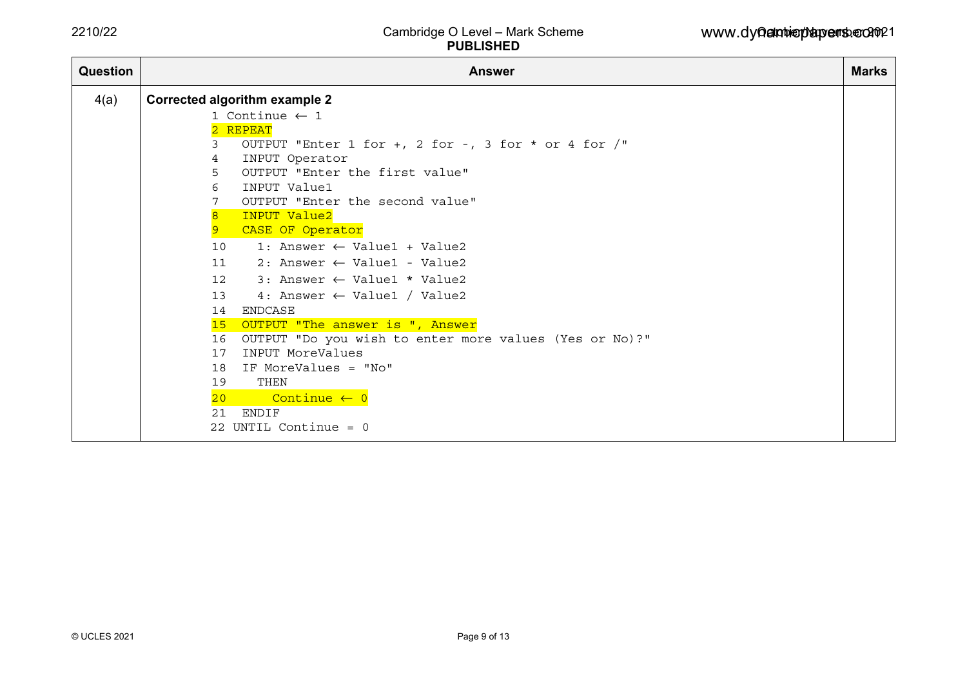| <b>Question</b> | <b>Answer</b>   |                                                        |  |  |  |  |  |  |
|-----------------|-----------------|--------------------------------------------------------|--|--|--|--|--|--|
| 4(a)            |                 | <b>Corrected algorithm example 2</b>                   |  |  |  |  |  |  |
|                 |                 | 1 Continue $\leftarrow$ 1                              |  |  |  |  |  |  |
|                 |                 | 2 REPEAT                                               |  |  |  |  |  |  |
|                 | 3               | OUTPUT "Enter 1 for +, 2 for -, 3 for * or 4 for $/$ " |  |  |  |  |  |  |
|                 | 4               | INPUT Operator                                         |  |  |  |  |  |  |
|                 | 5               | OUTPUT "Enter the first value"                         |  |  |  |  |  |  |
|                 | 6               | INPUT Value1                                           |  |  |  |  |  |  |
|                 |                 | OUTPUT "Enter the second value"                        |  |  |  |  |  |  |
|                 | $\overline{8}$  | INPUT Value2                                           |  |  |  |  |  |  |
|                 | 9               | CASE OF Operator                                       |  |  |  |  |  |  |
|                 | 10              | 1: Answer $\leftarrow$ Value1 + Value2                 |  |  |  |  |  |  |
|                 | 11              | 2: Answer $\leftarrow$ Value1 - Value2                 |  |  |  |  |  |  |
|                 | 12 <sup>°</sup> | $3:$ Answer $\leftarrow$ Value1 * Value2               |  |  |  |  |  |  |
|                 | 13              | 4: Answer $\leftarrow$ Value1 / Value2                 |  |  |  |  |  |  |
|                 | 14              | ENDCASE                                                |  |  |  |  |  |  |
|                 | 15              | OUTPUT "The answer is ", Answer                        |  |  |  |  |  |  |
|                 | 16              | OUTPUT "Do you wish to enter more values (Yes or No)?" |  |  |  |  |  |  |
|                 | 17              | INPUT MoreValues                                       |  |  |  |  |  |  |
|                 | 18              | IF MoreValues = "No"                                   |  |  |  |  |  |  |
|                 | 19              | THEN                                                   |  |  |  |  |  |  |
|                 | 20 <sub>o</sub> | Continue $\leftarrow$ 0                                |  |  |  |  |  |  |
|                 | 2.1             | ENDIF                                                  |  |  |  |  |  |  |
|                 |                 | 22 UNTIL Continue = $0$                                |  |  |  |  |  |  |
|                 |                 |                                                        |  |  |  |  |  |  |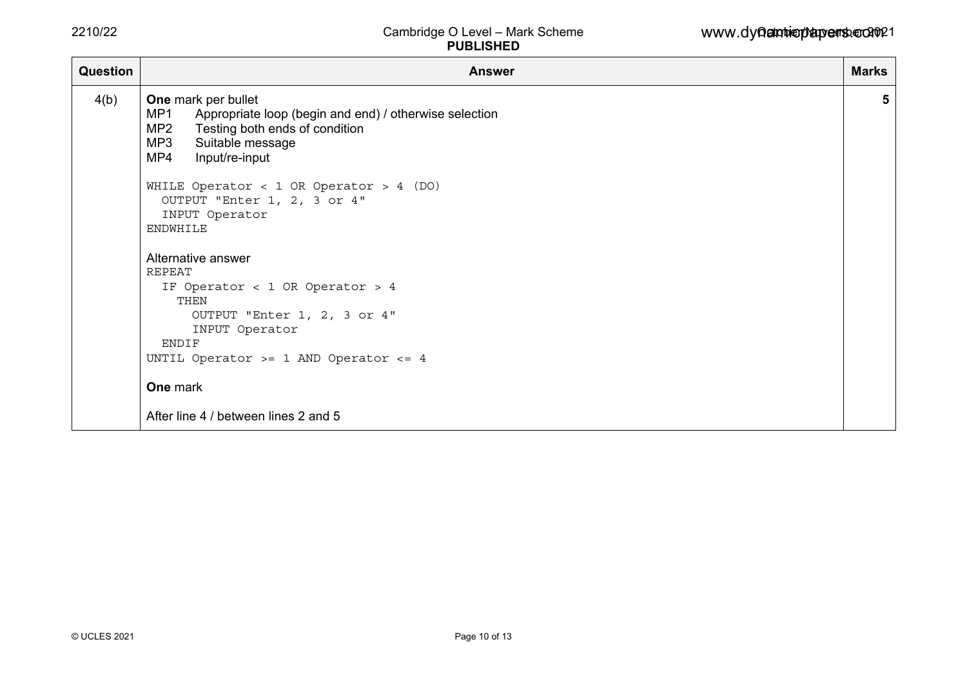| <b>Question</b> | <b>Answer</b>                                                                                                                                                                                                                                                                                                                                                                                                                                                                                                                    | <b>Marks</b> |
|-----------------|----------------------------------------------------------------------------------------------------------------------------------------------------------------------------------------------------------------------------------------------------------------------------------------------------------------------------------------------------------------------------------------------------------------------------------------------------------------------------------------------------------------------------------|--------------|
| 4(b)            | One mark per bullet<br>MP1<br>Appropriate loop (begin and end) / otherwise selection<br>MP2 Testing both ends of condition<br>MP3 Suitable message<br>MP4 Input/re-input<br>WHILE Operator < 1 OR Operator > 4 (DO)<br>OUTPUT "Enter 1, 2, 3 or 4"<br>INPUT Operator<br><b>ENDWHILE</b><br>Alternative answer<br><b>REPEAT</b><br>IF Operator < 1 OR Operator > 4<br>THEN<br>OUTPUT "Enter 1, 2, 3 or 4"<br>INPUT Operator<br>ENDIF<br>UNTIL Operator >= 1 AND Operator <= 4<br>One mark<br>After line 4 / between lines 2 and 5 | 5            |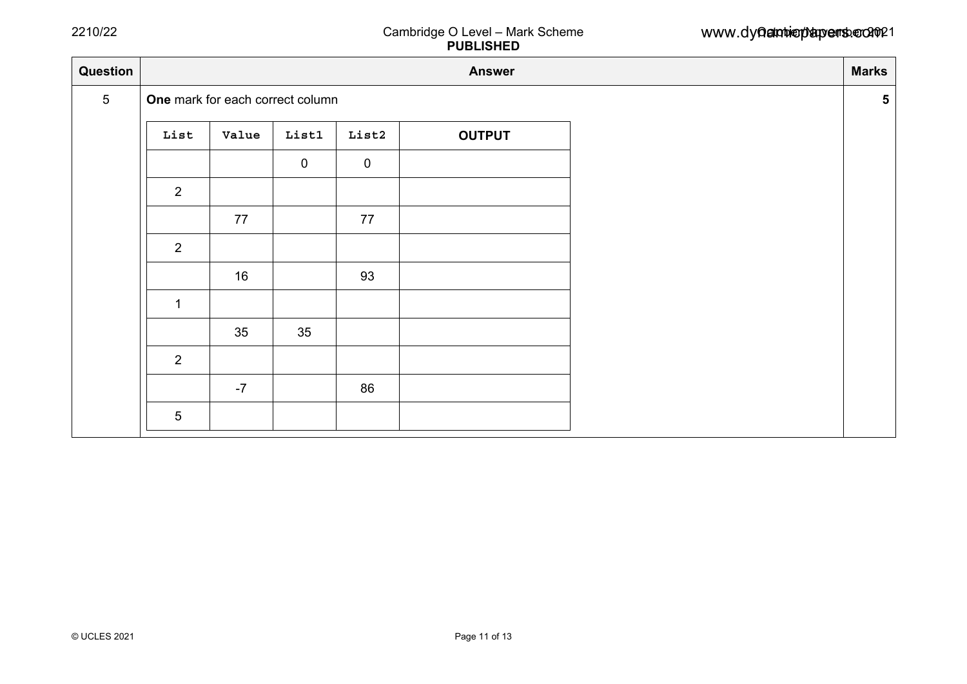| Question        | <b>Marks</b><br><b>Answer</b>    |       |                |                  |               |  |  |  |  |  |
|-----------------|----------------------------------|-------|----------------|------------------|---------------|--|--|--|--|--|
| $5\phantom{.0}$ | One mark for each correct column |       |                |                  |               |  |  |  |  |  |
|                 | List                             | Value | List1          | List2            | <b>OUTPUT</b> |  |  |  |  |  |
|                 |                                  |       | $\overline{0}$ | $\boldsymbol{0}$ |               |  |  |  |  |  |
|                 | 2                                |       |                |                  |               |  |  |  |  |  |
|                 |                                  | 77    |                | 77               |               |  |  |  |  |  |
|                 | 2                                |       |                |                  |               |  |  |  |  |  |
|                 |                                  | 16    |                | 93               |               |  |  |  |  |  |
|                 | $\mathbf{1}$                     |       |                |                  |               |  |  |  |  |  |
|                 |                                  | 35    | 35             |                  |               |  |  |  |  |  |
|                 | 2                                |       |                |                  |               |  |  |  |  |  |
|                 |                                  | $-7$  |                | 86               |               |  |  |  |  |  |
|                 | 5                                |       |                |                  |               |  |  |  |  |  |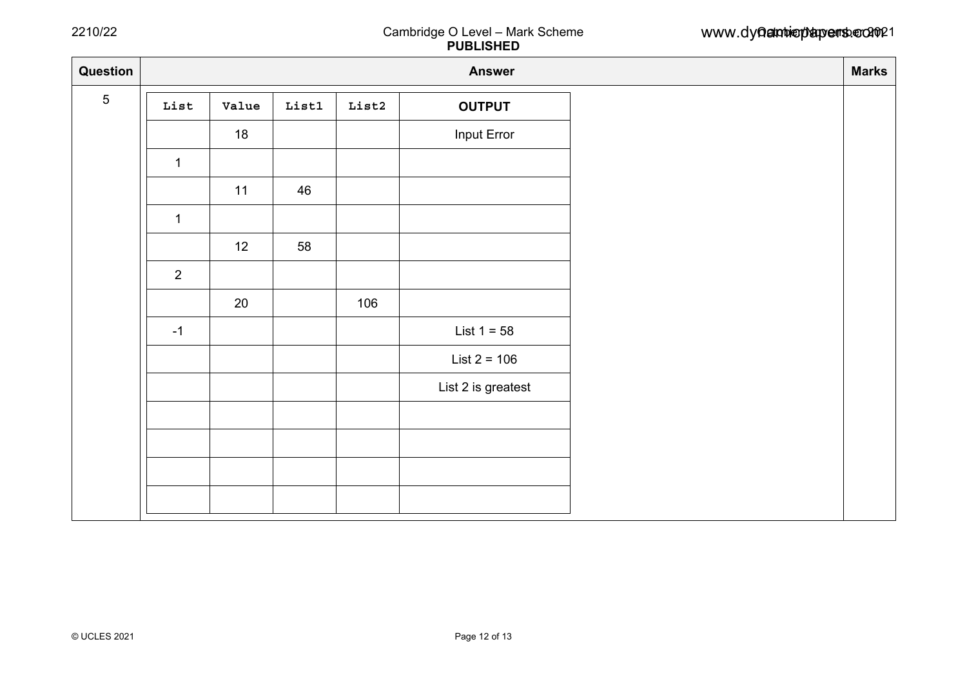| Question<br><b>Marks</b><br><b>Answer</b> |       |                |       |                    |  |  |  |  |  |
|-------------------------------------------|-------|----------------|-------|--------------------|--|--|--|--|--|
| List                                      | Value | $_{\tt List1}$ | List2 | <b>OUTPUT</b>      |  |  |  |  |  |
|                                           | 18    |                |       | Input Error        |  |  |  |  |  |
| $\mathbf{1}$                              |       |                |       |                    |  |  |  |  |  |
|                                           | 11    | 46             |       |                    |  |  |  |  |  |
| $\mathbf{1}$                              |       |                |       |                    |  |  |  |  |  |
|                                           | 12    | 58             |       |                    |  |  |  |  |  |
| $\overline{2}$                            |       |                |       |                    |  |  |  |  |  |
|                                           | 20    |                | 106   |                    |  |  |  |  |  |
| $-1$                                      |       |                |       | List $1 = 58$      |  |  |  |  |  |
|                                           |       |                |       | $List 2 = 106$     |  |  |  |  |  |
|                                           |       |                |       | List 2 is greatest |  |  |  |  |  |
|                                           |       |                |       |                    |  |  |  |  |  |
|                                           |       |                |       |                    |  |  |  |  |  |
|                                           |       |                |       |                    |  |  |  |  |  |
|                                           |       |                |       |                    |  |  |  |  |  |
|                                           |       |                |       |                    |  |  |  |  |  |